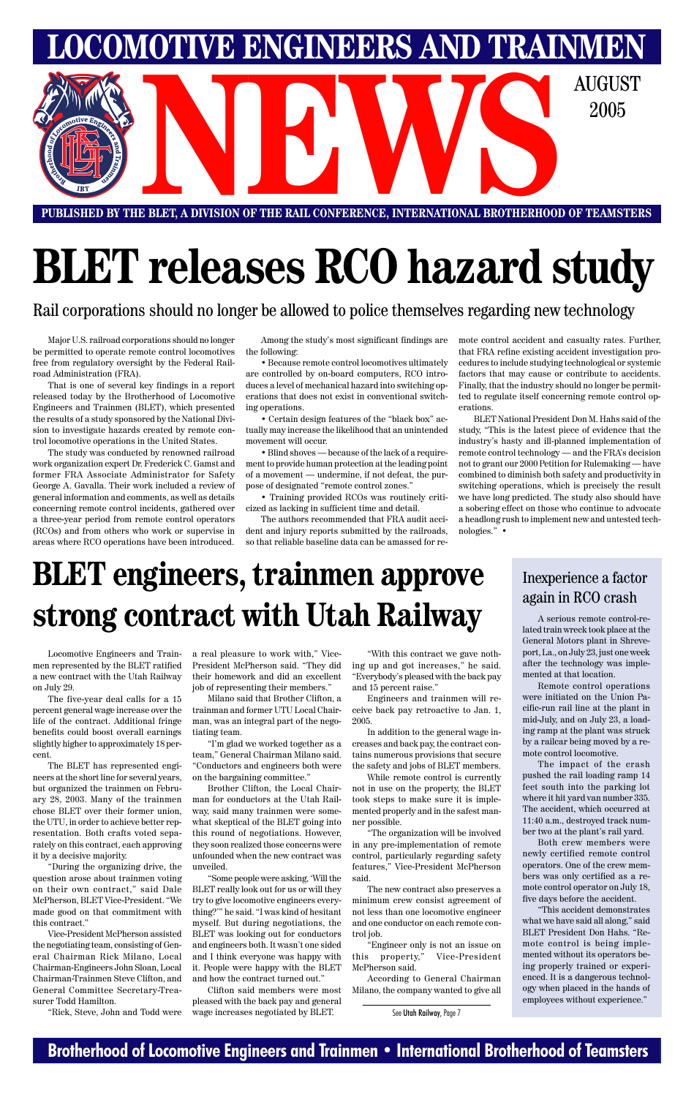### **Brotherhood of Locomotive Engineers and Trainmen • International Brotherhood of Teamsters**

# **BLET releases RCO hazard study**

**PUBLISHED BY THE BLET, A DIVISION OF THE RAIL CONFERENCE, INTERNATIONAL BROTHERHOOD OF TEAMSTERS NEWSPACE A DIVISION OF THE RAIL CONFERENCE, INTERNATIONAL BROTHERHOOD OF TEAMSTER** 

Rail corporations should no longer be allowed to police themselves regarding new technology

**LOMOTIVE ENGINEERS AND TRAINMEN** 

2005

Major U.S. railroad corporations should no longer be permitted to operate remote control locomotives free from regulatory oversight by the Federal Railroad Administration (FRA).

That is one of several key findings in a report released today by the Brotherhood of Locomotive Engineers and Trainmen (BLET), which presented the results of a study sponsored by the National Division to investigate hazards created by remote control locomotive operations in the United States.

The study was conducted by renowned railroad work organization expert Dr. Frederick C. Gamst and former FRA Associate Administrator for Safety George A. Gavalla. Their work included a review of general information and comments, as well as details concerning remote control incidents, gathered over a three-year period from remote control operators (RCOs) and from others who work or supervise in areas where RCO operations have been introduced.

Among the study's most significant findings are the following:

• Because remote control locomotives ultimately are controlled by on-board computers, RCO introduces a level of mechanical hazard into switching operations that does not exist in conventional switching operations.

• Certain design features of the "black box" actually may increase the likelihood that an unintended movement will occur.

• Blind shoves — because of the lack of a requirement to provide human protection at the leading point of a movement — undermine, if not defeat, the purpose of designated "remote control zones."

• Training provided RCOs was routinely criticized as lacking in sufficient time and detail.

The authors recommended that FRA audit accident and injury reports submitted by the railroads, so that reliable baseline data can be amassed for remote control accident and casualty rates. Further, that FRA refine existing accident investigation procedures to include studying technological or systemic factors that may cause or contribute to accidents. Finally, that the industry should no longer be permitted to regulate itself concerning remote control operations.

BLET National President Don M. Hahs said of the study, "This is the latest piece of evidence that the industry's hasty and ill-planned implementation of remote control technology — and the FRA's decision not to grant our 2000 Petition for Rulemaking — have combined to diminish both safety and productivity in switching operations, which is precisely the result we have long predicted. The study also should have a sobering effect on those who continue to advocate a headlong rush to implement new and untested technologies." •

Locomotive Engineers and Trainmen represented by the BLET ratified a new contract with the Utah Railway on July 29.

The five-year deal calls for a 15 percent general wage increase over the life of the contract. Additional fringe benefits could boost overall earnings slightly higher to approximately 18 percent.

The BLET has represented engineers at the short line for several years, but organized the trainmen on February 28, 2003. Many of the trainmen chose BLET over their former union, the UTU, in order to achieve better representation. Both crafts voted separately on this contract, each approving it by a decisive majority.

"During the organizing drive, the question arose about trainmen voting on their own contract," said Dale McPherson, BLET Vice-President. "We made good on that commitment with this contract."

Vice-President McPherson assisted the negotiating team, consisting of General Chairman Rick Milano, Local Chairman-Engineers John Sloan, Local Chairman-Trainmen Steve Clifton, and General Committee Secretary-Treasurer Todd Hamilton.

"Rick, Steve, John and Todd were

a real pleasure to work with," Vice-President McPherson said. "They did their homework and did an excellent job of representing their members."

Milano said that Brother Clifton, a trainman and former UTU Local Chairman, was an integral part of the negotiating team.

"I'm glad we worked together as a team," General Chairman Milano said. "Conductors and engineers both were on the bargaining committee."

Brother Clifton, the Local Chairman for conductors at the Utah Rail-

way, said many trainmen were somewhat skeptical of the BLET going into this round of negotiations. However, they soon realized those concerns were unfounded when the new contract was unveiled.

"Some people were asking, 'Will the BLET really look out for us or will they try to give locomotive engineers everything?'" he said. "I was kind of hesitant myself. But during negotiations, the BLET was looking out for conductors and engineers both. It wasn't one sided and I think everyone was happy with it. People were happy with the BLET and how the contract turned out."

Clifton said members were most pleased with the back pay and general wage increases negotiated by BLET.

"With this contract we gave nothing up and got increases," he said. "Everybody's pleased with the back pay and 15 percent raise."

Engineers and trainmen will receive back pay retroactive to Jan. 1, 2005.

In addition to the general wage increases and back pay, the contract contains numerous provisions that secure the safety and jobs of BLET members.

While remote control is currently not in use on the property, the BLET took steps to make sure it is imple-

mented properly and in the safest manner possible.

"The organization will be involved in any pre-implementation of remote control, particularly regarding safety features," Vice-President McPherson said.

The new contract also preserves a minimum crew consist agreement of not less than one locomotive engineer and one conductor on each remote control job.

"Engineer only is not an issue on this property," Vice-President McPherson said.

According to General Chairman Milano, the company wanted to give all

# **BLET engineers, trainmen approve strong contract with Utah Railway**

See Utah Railway, Page 7

A serious remote control-related train wreck took place at the General Motors plant in Shreveport, La., on July 23, just one week after the technology was implemented at that location.

Remote control operations were initiated on the Union Pacific-run rail line at the plant in mid-July, and on July 23, a loading ramp at the plant was struck by a railcar being moved by a remote control locomotive.

The impact of the crash pushed the rail loading ramp 14 feet south into the parking lot where it hit yard van number 335. The accident, which occurred at 11:40 a.m., destroyed track number two at the plant's rail yard.

Both crew members were newly certified remote control operators. One of the crew members was only certified as a remote control operator on July 18, five days before the accident.

"This accident demonstrates what we have said all along," said BLET President Don Hahs. "Remote control is being implemented without its operators being properly trained or experienced. It is a dangerous technology when placed in the hands of employees without experience."

### Inexperience a factor again in RCO crash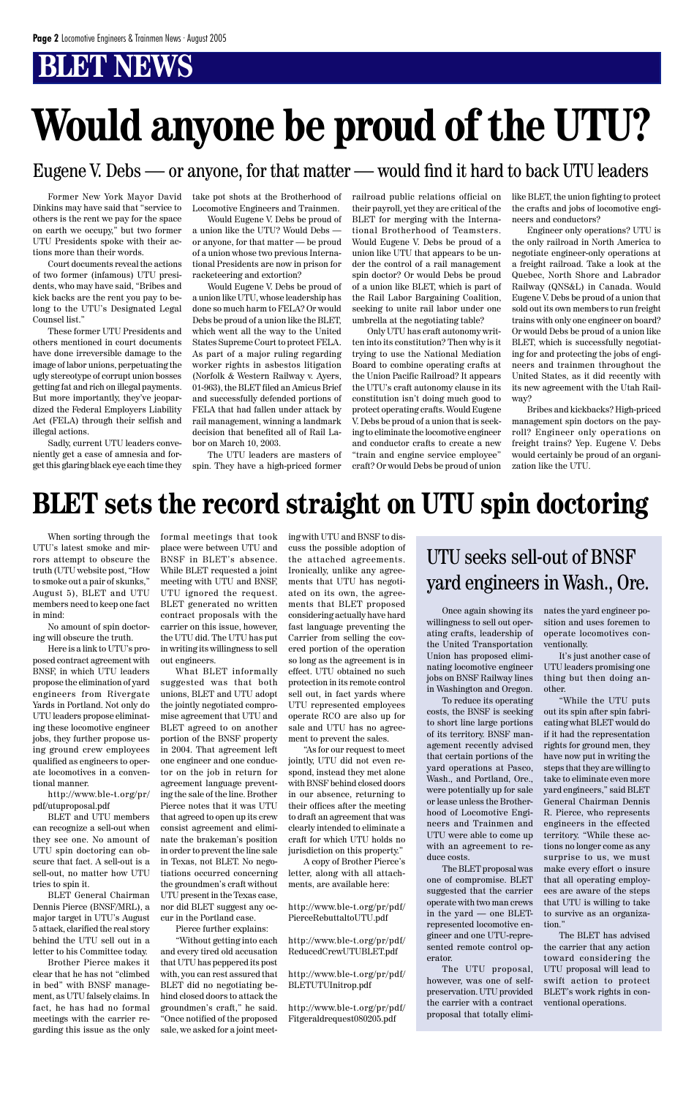Former New York Mayor David Dinkins may have said that "service to others is the rent we pay for the space on earth we occupy," but two former UTU Presidents spoke with their actions more than their words.

Court documents reveal the actions of two former (infamous) UTU presidents, who may have said, "Bribes and kick backs are the rent you pay to belong to the UTU's Designated Legal Counsel list."

These former UTU Presidents and others mentioned in court documents have done irreversible damage to the image of labor unions, perpetuating the ugly stereotype of corrupt union bosses getting fat and rich on illegal payments. But more importantly, they've jeopardized the Federal Employers Liability Act (FELA) through their selfish and illegal actions.

Sadly, current UTU leaders conveniently get a case of amnesia and forget this glaring black eye each time they take pot shots at the Brotherhood of Locomotive Engineers and Trainmen.

Would Eugene V. Debs be proud of a union like the UTU? Would Debs or anyone, for that matter — be proud of a union whose two previous International Presidents are now in prison for racketeering and extortion?

Would Eugene V. Debs be proud of a union like UTU, whose leadership has done so much harm to FELA? Or would Debs be proud of a union like the BLET, which went all the way to the United States Supreme Court to protect FELA. As part of a major ruling regarding worker rights in asbestos litigation (Norfolk & Western Railway v. Ayers, 01-963), the BLET filed an Amicus Brief and successfully defended portions of FELA that had fallen under attack by rail management, winning a landmark decision that benefited all of Rail Labor on March 10, 2003.

The UTU leaders are masters of spin. They have a high-priced former railroad public relations official on their payroll, yet they are critical of the BLET for merging with the International Brotherhood of Teamsters. Would Eugene V. Debs be proud of a union like UTU that appears to be under the control of a rail management spin doctor? Or would Debs be proud of a union like BLET, which is part of the Rail Labor Bargaining Coalition, seeking to unite rail labor under one umbrella at the negotiating table?

Only UTU has craft autonomy written into its constitution? Then why is it trying to use the National Mediation Board to combine operating crafts at the Union Pacific Railroad? It appears the UTU's craft autonomy clause in its constitution isn't doing much good to protect operating crafts. Would Eugene V. Debs be proud of a union that is seeking to eliminate the locomotive engineer and conductor crafts to create a new "train and engine service employee" craft? Or would Debs be proud of union

like BLET, the union fighting to protect the crafts and jobs of locomotive engineers and conductors?

Engineer only operations? UTU is the only railroad in North America to negotiate engineer-only operations at a freight railroad. Take a look at the Quebec, North Shore and Labrador Railway (QNS&L) in Canada. Would Eugene V. Debs be proud of a union that sold out its own members to run freight trains with only one engineer on board? Or would Debs be proud of a union like BLET, which is successfully negotiating for and protecting the jobs of engineers and trainmen throughout the United States, as it did recently with its new agreement with the Utah Railway?

Bribes and kickbacks? High-priced management spin doctors on the payroll? Engineer only operations on freight trains? Yep. Eugene V. Debs would certainly be proud of an organization like the UTU.

# **Would anyone be proud of the UTU?**

When sorting through the UTU's latest smoke and mirrors attempt to obscure the truth (UTU website post, "How to smoke out a pair of skunks," August 5), BLET and UTU members need to keep one fact in mind:

No amount of spin doctoring will obscure the truth.

Here is a link to UTU's proposed contract agreement with BNSF, in which UTU leaders propose the elimination of yard engineers from Rivergate Yards in Portland. Not only do UTU leaders propose eliminating these locomotive engineer jobs, they further propose using ground crew employees qualified as engineers to operate locomotives in a conventional manner.

http://www.ble-t.org/pr/ pdf/utuproposal.pdf

BLET and UTU members can recognize a sell-out when they see one. No amount of UTU spin doctoring can obscure that fact. A sell-out is a sell-out, no matter how UTU tries to spin it.

BLET General Chairman Dennis Pierce (BNSF/MRL), a major target in UTU's August 5 attack, clarified the real story behind the UTU sell out in a letter to his Committee today.

Brother Pierce makes it clear that he has not "climbed in bed" with BNSF management, as UTU falsely claims. In fact, he has had no formal meetings with the carrier regarding this issue as the only formal meetings that took place were between UTU and BNSF in BLET's absence. While BLET requested a joint meeting with UTU and BNSF, UTU ignored the request. BLET generated no written contract proposals with the carrier on this issue, however, the UTU did. The UTU has put in writing its willingness to sell out engineers.

What BLET informally suggested was that both unions, BLET and UTU adopt the jointly negotiated compromise agreement that UTU and BLET agreed to on another portion of the BNSF property in 2004. That agreement left one engineer and one conductor on the job in return for agreement language preventing the sale of the line. Brother Pierce notes that it was UTU that agreed to open up its crew consist agreement and eliminate the brakeman's position in order to prevent the line sale in Texas, not BLET. No negotiations occurred concerning the groundmen's craft without UTU present in the Texas case, nor did BLET suggest any occur in the Portland case.

Pierce further explains:

"Without getting into each and every tired old accusation that UTU has peppered its post with, you can rest assured that BLET did no negotiating behind closed doors to attack the groundmen's craft," he said. "Once notified of the proposed sale, we asked for a joint meeting with UTU and BNSF to discuss the possible adoption of the attached agreements. Ironically, unlike any agreements that UTU has negotiated on its own, the agreements that BLET proposed considering actually have hard fast language preventing the Carrier from selling the covered portion of the operation so long as the agreement is in effect. UTU obtained no such protection in its remote control sell out, in fact yards where UTU represented employees operate RCO are also up for sale and UTU has no agreement to prevent the sales.

"As for our request to meet jointly, UTU did not even respond, instead they met alone with BNSF behind closed doors in our absence, returning to their offices after the meeting to draft an agreement that was clearly intended to eliminate a craft for which UTU holds no jurisdiction on this property."

A copy of Brother Pierce's letter, along with all attachments, are available here:

http://www.ble-t.org/pr/pdf/ PierceRebuttaltoUTU.pdf

http://www.ble-t.org/pr/pdf/ ReducedCrewUTUBLET.pdf

http://www.ble-t.org/pr/pdf/ BLETUTUInitrop.pdf

http://www.ble-t.org/pr/pdf/ Fitgeraldrequest080205.pdf

Once again showing its willingness to sell out operating crafts, leadership of the United Transportation Union has proposed eliminating locomotive engineer jobs on BNSF Railway lines in Washington and Oregon.

To reduce its operating costs, the BNSF is seeking to short line large portions of its territory. BNSF management recently advised that certain portions of the yard operations at Pasco, Wash., and Portland, Ore., were potentially up for sale or lease unless the Brother-

hood of Locomotive Engineers and Trainmen and UTU were able to come up with an agreement to reduce costs.

The BLET proposal was one of compromise. BLET suggested that the carrier operate with two man crews in the yard — one BLETrepresented locomotive engineer and one UTU-represented remote control operator.

The UTU proposal, however, was one of selfpreservation. UTU provided the carrier with a contract proposal that totally eliminates the yard engineer position and uses foremen to operate locomotives conventionally.

It's just another case of UTU leaders promising one thing but then doing another.

"While the UTU puts out its spin after spin fabricating what BLET would do if it had the representation rights for ground men, they have now put in writing the steps that they are willing to take to eliminate even more yard engineers," said BLET General Chairman Dennis R. Pierce, who represents engineers in the effected territory. "While these actions no longer come as any surprise to us, we must make every effort o insure that all operating employees are aware of the steps that UTU is willing to take to survive as an organization."

The BLET has advised the carrier that any action toward considering the UTU proposal will lead to swift action to protect BLET's work rights in conventional operations.

## UTU seeks sell-out of BNSF yard engineers in Wash., Ore.

# **BLET sets the record straight on UTU spin doctoring**

### Eugene V. Debs — or anyone, for that matter — would find it hard to back UTU leaders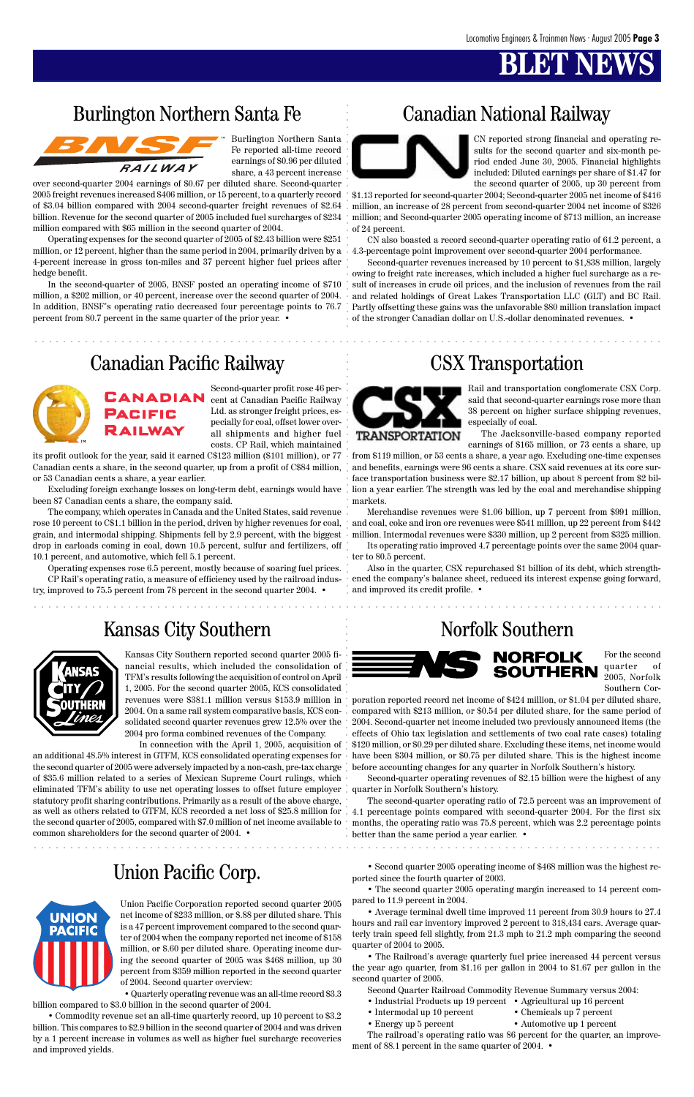### Burlington Northern Santa Fe Canadian National Railway



### Canadian Pacific Railway CSX Transportation



### Union Pacific Corp.



aaaaaaaaaaaaaaaaaaaaaaaaaaaaaaaaaaaaaaaaaaaaaaaaaaaaaaaaaaaaaaaaaaaaaaaa aaaaaaaaaaaaaaa

aaaaaaaaaaaaaaaaaaaaaaaaaaaaaaaaaaaaaaaaaaaaaaaaaaaaaaaaaaaaaaaaaaaaaaaaaaaaaaaaaaaaaaa

Burlington Northern Santa Fe reported all-time record earnings of \$0.96 per diluted share, a 43 percent increase

over second-quarter 2004 earnings of \$0.67 per diluted share. Second-quarter 2005 freight revenues increased \$406 million, or 15 percent, to a quarterly record of \$3.04 billion compared with 2004 second-quarter freight revenues of \$2.64 billion. Revenue for the second quarter of 2005 included fuel surcharges of \$234 million compared with \$65 million in the second quarter of 2004.

Operating expenses for the second quarter of 2005 of \$2.43 billion were \$251 million, or 12 percent, higher than the same period in 2004, primarily driven by a 4.3-percentage point improvement over second-quarter 2004 performance. 4-percent increase in gross ton-miles and 37 percent higher fuel prices after hedge benefit.

In the second-quarter of 2005, BNSF posted an operating income of \$710 million, a \$202 million, or 40 percent, increase over the second quarter of 2004. In addition, BNSF's operating ratio decreased four percentage points to 76.7 percent from 80.7 percent in the same quarter of the prior year. •

CN reported strong financial and operating results for the second quarter and six-month period ended June 30, 2005. Financial highlights included: Diluted earnings per share of \$1.47 for the second quarter of 2005, up 30 percent from

\$1.13 reported for second-quarter 2004; Second-quarter 2005 net income of \$416 million, an increase of 28 percent from second-quarter 2004 net income of \$326 million; and Second-quarter 2005 operating income of \$713 million, an increase of 24 percent.

CN also boasted a record second-quarter operating ratio of 61.2 percent, a

Second-quarter revenues increased by 10 percent to \$1,838 million, largely owing to freight rate increases, which included a higher fuel surcharge as a result of increases in crude oil prices, and the inclusion of revenues from the rail and related holdings of Great Lakes Transportation LLC (GLT) and BC Rail. Partly offsetting these gains was the unfavorable \$80 million translation impact of the stronger Canadian dollar on U.S.-dollar denominated revenues. •

Second-quarter profit rose 46 percent at Canadian Pacific Railway Ltd. as stronger freight prices, especially for coal, offset lower overall shipments and higher fuel costs. CP Rail, which maintained

Barlington Northern Santa Francesco Constitution Santa Francesco Constitution Constitution Constitution Constitution Francesco Constitution Francesco Constitution Francesco Constitution Francesco Constitution Francesco Co In connection with the April 1, 2005, acquisition of an additional 48.5% interest in GTFM, KCS consolidated operating expenses for the second quarter of 2005 were adversely impacted by a non-cash, pre-tax charge of \$35.6 million related to a series of Mexican Supreme Court rulings, which eliminated TFM's ability to use net operating losses to offset future employer quarter in Norfolk Southern's history. statutory profit sharing contributions. Primarily as a result of the above charge, as well as others related to GTFM, KCS recorded a net loss of \$25.8 million for 4.1 percentage points compared with second-quarter 2004. For the first six the second quarter of 2005, compared with \$7.0 million of net income available to  $\, \cdot \,$  months, the operating ratio was 75.8 percent, which was 2.2 percentage points common shareholders for the second quarter of 2004. •



its profit outlook for the year, said it earned C\$123 million (\$101 million), or 77 Canadian cents a share, in the second quarter, up from a profit of C\$84 million, or 53 Canadian cents a share, a year earlier.

Excluding foreign exchange losses on long-term debt, earnings would have been 87 Canadian cents a share, the company said.

The company, which operates in Canada and the United States, said revenue grain, and intermodal shipping. Shipments fell by 2.9 percent, with the biggest drop in carloads coming in coal, down 10.5 percent, sulfur and fertilizers, off 10.1 percent, and automotive, which fell 5.1 percent.

Operating expenses rose 6.5 percent, mostly because of soaring fuel prices. CP Rail's operating ratio, a measure of efficiency used by the railroad industry, improved to 75.5 percent from 78 percent in the second quarter 2004. •

### Kansas City Southern Norfolk Southern



Rail and transportation conglomerate CSX Corp. said that second-quarter earnings rose more than 38 percent on higher surface shipping revenues, especially of coal.

rose 10 percent to C\$1.1 billion in the period, driven by higher revenues for coal, and coal, coke and iron ore revenues were \$541 million, up 22 percent from \$442 Merchandise revenues were \$1.06 billion, up 7 percent from \$991 million, million. Intermodal revenues were \$330 million, up 2 percent from \$325 million.

The Jacksonville-based company reported earnings of \$165 million, or 73 cents a share, up

from \$119 million, or 53 cents a share, a year ago. Excluding one-time expenses and benefits, earnings were 96 cents a share. CSX said revenues at its core surface transportation business were \$2.17 billion, up about 8 percent from \$2 billion a year earlier. The strength was led by the coal and merchandise shipping markets.

- Industrial Products up 19 percent Agricultural up 16 percent
- Intermodal up 10 percent Chemicals up 7 percent
	-
- Energy up 5 percent Automotive up 1 percent

Its operating ratio improved 4.7 percentage points over the same 2004 quarter to 80.5 percent.

Also in the quarter, CSX repurchased \$1 billion of its debt, which strengthened the company's balance sheet, reduced its interest expense going forward, and improved its credit profile. •



Kansas City Southern reported second quarter 2005 financial results, which included the consolidation of TFM's results following the acquisition of control on April 1, 2005. For the second quarter 2005, KCS consolidated revenues were \$381.1 million versus \$153.9 million in 2004. On a same rail system comparative basis, KCS consolidated second quarter revenues grew 12.5% over the 2004 pro forma combined revenues of the Company.

For the second quarter of

2005, Norfolk Southern Cor-

poration reported record net income of \$424 million, or \$1.04 per diluted share, compared with \$213 million, or \$0.54 per diluted share, for the same period of 2004. Second-quarter net income included two previously announced items (the effects of Ohio tax legislation and settlements of two coal rate cases) totaling \$120 million, or \$0.29 per diluted share. Excluding these items, net income would have been \$304 million, or \$0.75 per diluted share. This is the highest income before accounting changes for any quarter in Norfolk Southern's history.

Second-quarter operating revenues of \$2.15 billion were the highest of any

The second-quarter operating ratio of 72.5 percent was an improvement of

Union Pacific Corporation reported second quarter 2005 net income of \$233 million, or \$.88 per diluted share. This is a 47 percent improvement compared to the second quarter of 2004 when the company reported net income of \$158 million, or \$.60 per diluted share. Operating income during the second quarter of 2005 was \$468 million, up 30 percent from \$359 million reported in the second quarter of 2004. Second quarter overview:

• Quarterly operating revenue was an all-time record \$3.3 billion compared to \$3.0 billion in the second quarter of 2004.

• Commodity revenue set an all-time quarterly record, up 10 percent to \$3.2 billion. This compares to \$2.9 billion in the second quarter of 2004 and was driven by a 1 percent increase in volumes as well as higher fuel surcharge recoveries and improved yields.

better than the same period a year earlier. •

• Second quarter 2005 operating income of \$468 million was the highest reported since the fourth quarter of 2003.

• The second quarter 2005 operating margin increased to 14 percent compared to 11.9 percent in 2004.

• Average terminal dwell time improved 11 percent from 30.9 hours to 27.4 hours and rail car inventory improved 2 percent to 318,434 cars. Average quarterly train speed fell slightly, from 21.3 mph to 21.2 mph comparing the second quarter of 2004 to 2005.

• The Railroad's average quarterly fuel price increased 44 percent versus the year ago quarter, from \$1.16 per gallon in 2004 to \$1.67 per gallon in the second quarter of 2005.

Second Quarter Railroad Commodity Revenue Summary versus 2004:

The railroad's operating ratio was 86 percent for the quarter, an improvement of 88.1 percent in the same quarter of 2004. •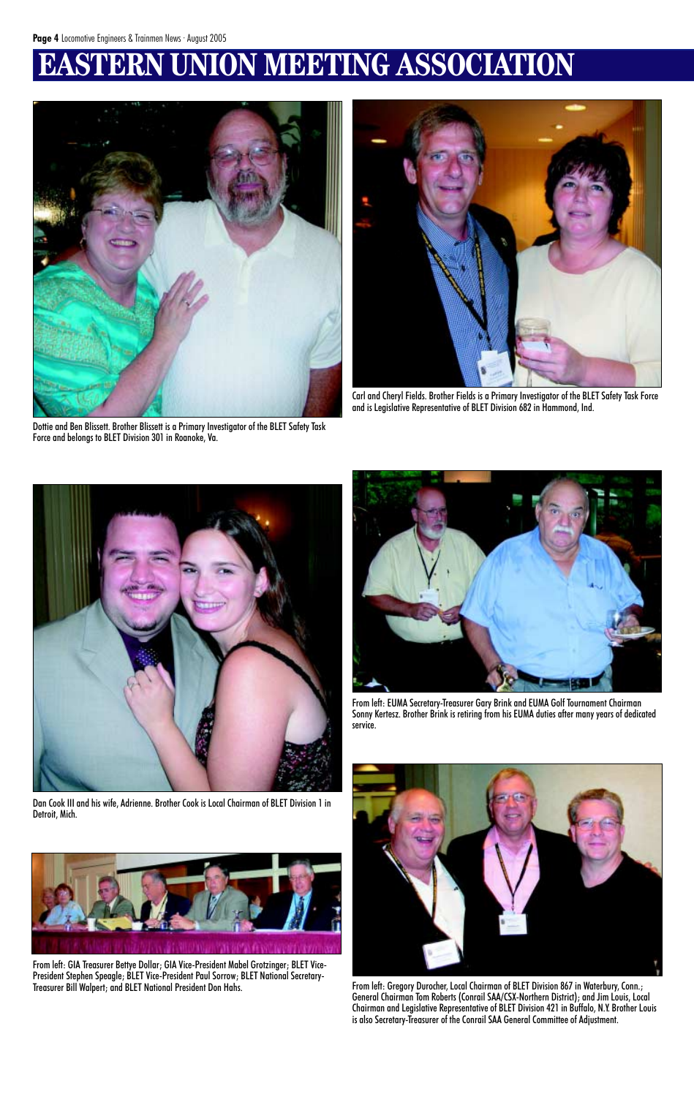# **ERN UNION MEETING ASSOCIATION**



Dottie and Ben Blissett. Brother Blissett is a Primary Investigator of the BLET Safety Task Force and belongs to BLET Division 301 in Roanoke, Va.



Carl and Cheryl Fields. Brother Fields is a Primary Investigator of the BLET Safety Task Force and is Legislative Representative of BLET Division 682 in Hammond, Ind.



Dan Cook III and his wife, Adrienne. Brother Cook is Local Chairman of BLET Division 1 in

### Detroit, Mich.





From left: EUMA Secretary-Treasurer Gary Brink and EUMA Golf Tournament Chairman Sonny Kertesz. Brother Brink is retiring from his EUMA duties after many years of dedicated service.



From left: Gregory Durocher, Local Chairman of BLET Division 867 in Waterbury, Conn.; General Chairman Tom Roberts (Conrail SAA/CSX-Northern District); and Jim Louis, Local Chairman and Legislative Representative of BLET Division 421 in Buffalo, N.Y. Brother Louis is also Secretary-Treasurer of the Conrail SAA General Committee of Adjustment.

From left: GIA Treasurer Bettye Dollar; GIA Vice-President Mabel Grotzinger; BLET Vice-President Stephen Speagle; BLET Vice-President Paul Sorrow; BLET National Secretary-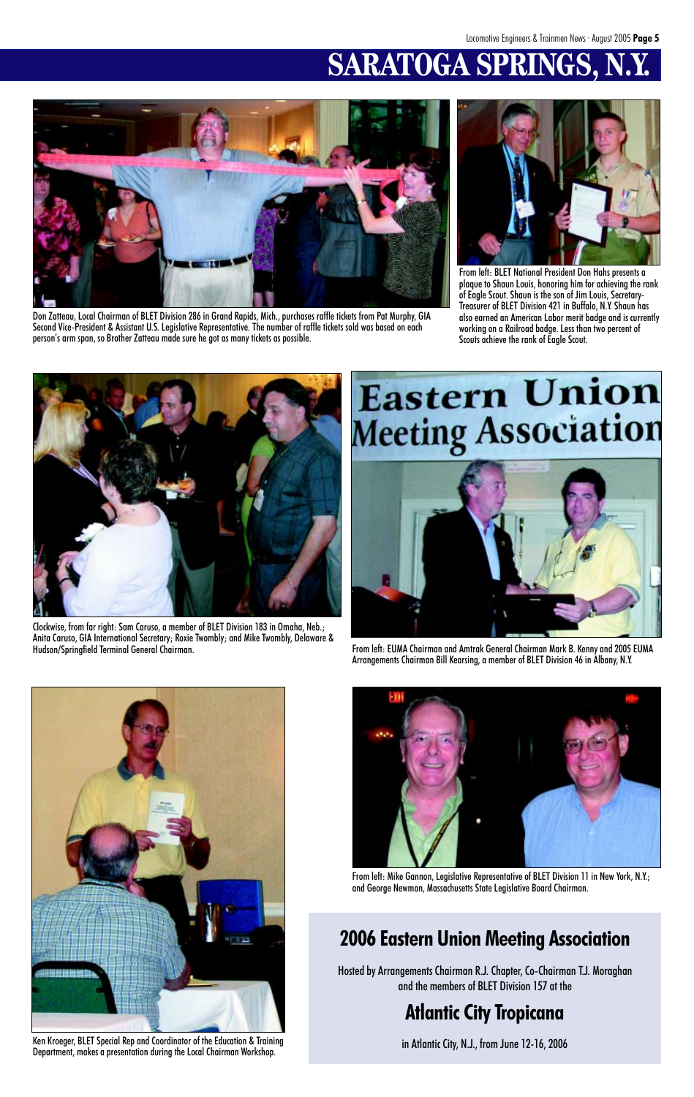# **SARATOGA SPRINGS,**



Don Zatteau, Local Chairman of BLET Division 286 in Grand Rapids, Mich., purchases raffle tickets from Pat Murphy, GIA Second Vice-President & Assistant U.S. Legislative Representative. The number of raffle tickets sold was based on each person's arm span, so Brother Zatteau made sure he got as many tickets as possible.



From left: EUMA Chairman and Amtrak General Chairman Mark B. Kenny and 2005 EUMA Arrangements Chairman Bill Kearsing, a member of BLET Division 46 in Albany, N.Y.







Clockwise, from far right: Sam Caruso, a member of BLET Division 183 in Omaha, Neb.; Anita Caruso, GIA International Secretary; Roxie Twombly; and Mike Twombly, Delaware &

# **Eastern Union** Meeting Association

Ken Kroeger, BLET Special Rep and Coordinator of the Education & Training Department, makes a presentation during the Local Chairman Workshop.

From left: Mike Gannon, Legislative Representative of BLET Division 11 in New York, N.Y.; and George Newman, Massachusetts State Legislative Board Chairman.

## **2006 Eastern Union Meeting Association**

Hosted by Arrangements Chairman R.J. Chapter, Co-Chairman T.J. Moraghan and the members of BLET Division 157 at the

### **Atlantic City Tropicana**

in Atlantic City, N.J., from June 12-16, 2006



From left: BLET National President Don Hahs presents a plaque to Shaun Louis, honoring him for achieving the rank of Eagle Scout. Shaun is the son of Jim Louis, Secretary-Treasurer of BLET Division 421 in Buffalo, N.Y. Shaun has also earned an American Labor merit badge and is currently working on a Railroad badge. Less than two percent of Scouts achieve the rank of Eagle Scout.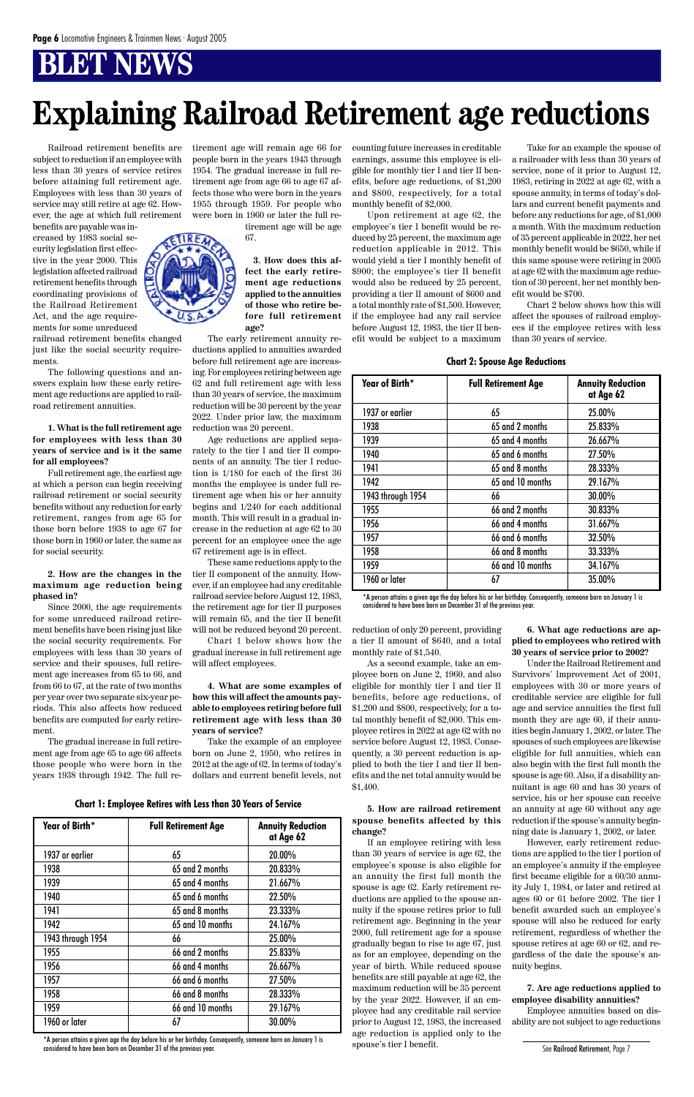# **Explaining Railroad Retirement age reductions**

| Year of Birth*    | <b>Full Retirement Age</b> | <b>Annuity Reduction</b><br>at Age 62 |
|-------------------|----------------------------|---------------------------------------|
| 1937 or earlier   | 65                         | 20.00%                                |
| 1938              | 65 and 2 months            | 20.833%                               |
| 1939              | 65 and 4 months            | 21.667%                               |
| 1940              | 65 and 6 months            | 22.50%                                |
| 1941              | 65 and 8 months            | 23.333%                               |
| 1942              | 65 and 10 months           | 24.167%                               |
| 1943 through 1954 | 66                         | 25.00%                                |
| 1955              | 66 and 2 months            | 25.833%                               |
| 1956              | 66 and 4 months            | 26.667%                               |
| 1957              | 66 and 6 months            | 27.50%                                |
| 1958              | 66 and 8 months            | 28.333%                               |
| 1959              | 66 and 10 months           | 29.167%                               |
| 1960 or later     | 67                         | 30.00%                                |

 **Chart 1: Employee Retires with Less than 30 Years of Service**

| Year of Birth*    | <b>Full Retirement Age</b> | <b>Annuity Reduction</b><br>at Age 62 |
|-------------------|----------------------------|---------------------------------------|
| 1937 or earlier   | 65                         | 25.00%                                |
| 1938              | 65 and 2 months            | 25.833%                               |
| 1939              | 65 and 4 months            | 26.667%                               |
| 1940              | 65 and 6 months            | 27.50%                                |
| 1941              | 65 and 8 months            | 28.333%                               |
| 1942              | 65 and 10 months           | 29.167%                               |
| 1943 through 1954 | 66                         | 30.00%                                |
| 1955              | 66 and 2 months            | 30.833%                               |
| 1956              | 66 and 4 months            | 31.667%                               |
| 1957              | 66 and 6 months            | 32.50%                                |
| 1958              | 66 and 8 months            | 33.333%                               |
| 1959              | 66 and 10 months           | 34.167%                               |
| 1960 or later     | 67                         | 35.00%                                |

#### **Chart 2: Spouse Age Reductions**

Railroad retirement benefits are subject to reduction if an employee with less than 30 years of service retires before attaining full retirement age. Employees with less than 30 years of service may still retire at age 62. However, the age at which full retirement

benefits are payable was increased by 1983 social security legislation first effective in the year 2000. This legislation affected railroad retirement benefits through coordinating provisions of the Railroad Retirement Act, and the age requirements for some unreduced

railroad retirement benefits changed just like the social security requirements.

The following questions and answers explain how these early retirement age reductions are applied to railroad retirement annuities.

**1. What is the full retirement age for employees with less than 30 years of service and is it the same for all employees?**

Full retirement age, the earliest age at which a person can begin receiving railroad retirement or social security benefits without any reduction for early retirement, ranges from age 65 for those born before 1938 to age 67 for those born in 1960 or later, the same as for social security.

### **2. How are the changes in the maximum age reduction being phased in?**

Since 2000, the age requirements for some unreduced railroad retirement benefits have been rising just like the social security requirements. For employees with less than 30 years of service and their spouses, full retirement age increases from 65 to 66, and from 66 to 67, at the rate of two months per year over two separate six-year periods. This also affects how reduced benefits are computed for early retirement.

The gradual increase in full retirement age from age 65 to age 66 affects those people who were born in the years 1938 through 1942. The full retirement age will remain age 66 for people born in the years 1943 through 1954. The gradual increase in full retirement age from age 66 to age 67 affects those who were born in the years 1955 through 1959. For people who were born in 1960 or later the full re-

tirement age will be age 67.

**3. How does this affect the early retirement age reductions applied to the annuities of those who retire before full retirement age?**

The early retirement annuity reductions applied to annuities awarded before full retirement age are increasing. For employees retiring between age 62 and full retirement age with less than 30 years of service, the maximum reduction will be 30 percent by the year 2022. Under prior law, the maximum reduction was 20 percent.

Age reductions are applied separately to the tier I and tier II components of an annuity. The tier I reduction is 1/180 for each of the first 36 months the employee is under full retirement age when his or her annuity begins and 1/240 for each additional month. This will result in a gradual increase in the reduction at age 62 to 30 percent for an employee once the age 67 retirement age is in effect.

These same reductions apply to the tier II component of the annuity. However, if an employee had any creditable railroad service before August 12, 1983, the retirement age for tier II purposes will remain 65, and the tier II benefit will not be reduced beyond 20 percent.

Chart 1 below shows how the gradual increase in full retirement age will affect employees.

**4. What are some examples of how this will affect the amounts payable to employees retiring before full retirement age with less than 30 years of service?**

Take the example of an employee born on June 2, 1950, who retires in 2012 at the age of 62. In terms of today's dollars and current benefit levels, not counting future increases in creditable earnings, assume this employee is eligible for monthly tier I and tier II benefits, before age reductions, of \$1,200 and \$800, respectively, for a total monthly benefit of \$2,000.

Upon retirement at age 62, the employee's tier I benefit would be reduced by 25 percent, the maximum age reduction applicable in 2012. This would yield a tier I monthly benefit of \$900; the employee's tier II benefit would also be reduced by 25 percent, providing a tier II amount of \$600 and a total monthly rate of \$1,500. However, if the employee had any rail service before August 12, 1983, the tier II benefit would be subject to a maximum

reduction of only 20 percent, providing a tier II amount of \$640, and a total monthly rate of \$1,540.

As a second example, take an employee born on June 2, 1960, and also eligible for monthly tier I and tier II benefits, before age reductions, of \$1,200 and \$800, respectively, for a total monthly benefit of \$2,000. This employee retires in 2022 at age 62 with no service before August 12, 1983. Consequently, a 30 percent reduction is applied to both the tier I and tier II benefits and the net total annuity would be \$1,400.

**5. How are railroad retirement spouse benefits affected by this change?**

If an employee retiring with less than 30 years of service is age 62, the employee's spouse is also eligible for an annuity the first full month the spouse is age 62. Early retirement reductions are applied to the spouse annuity if the spouse retires prior to full retirement age. Beginning in the year 2000, full retirement age for a spouse gradually began to rise to age 67, just as for an employee, depending on the year of birth. While reduced spouse benefits are still payable at age 62, the maximum reduction will be 35 percent by the year 2022. However, if an employee had any creditable rail service prior to August 12, 1983, the increased age reduction is applied only to the spouse's tier I benefit.

Take for an example the spouse of a railroader with less than 30 years of service, none of it prior to August 12, 1983, retiring in 2022 at age 62, with a spouse annuity, in terms of today's dollars and current benefit payments and before any reductions for age, of \$1,000 a month. With the maximum reduction of 35 percent applicable in 2022, her net monthly benefit would be \$650, while if this same spouse were retiring in 2005 at age 62 with the maximum age reduction of 30 percent, her net monthly benefit would be \$700.

Chart 2 below shows how this will affect the spouses of railroad employees if the employee retires with less than 30 years of service.

**6. What age reductions are applied to employees who retired with 30 years of service prior to 2002?**

Under the Railroad Retirement and Survivors' Improvement Act of 2001, employees with 30 or more years of creditable service are eligible for full age and service annuities the first full month they are age 60, if their annuities begin January 1, 2002, or later. The spouses of such employees are likewise eligible for full annuities, which can also begin with the first full month the spouse is age 60. Also, if a disability annuitant is age 60 and has 30 years of service, his or her spouse can receive an annuity at age 60 without any age reduction if the spouse's annuity beginning date is January 1, 2002, or later. However, early retirement reductions are applied to the tier I portion of an employee's annuity if the employee first became eligible for a 60/30 annuity July 1, 1984, or later and retired at ages 60 or 61 before 2002. The tier I benefit awarded such an employee's spouse will also be reduced for early retirement, regardless of whether the spouse retires at age 60 or 62, and regardless of the date the spouse's annuity begins.



#### **7. Are age reductions applied to employee disability annuities?**

Employee annuities based on disability are not subject to age reductions

\*A person attains a given age the day before his or her birthday. Consequently, someone born on January 1 is considered to have been born on December 31 of the previous year.

\*A person attains a given age the day before his or her birthday. Consequently, someone born on January 1 is considered to have been born on December 31 of the previous year.

See Railroad Retirement, Page 7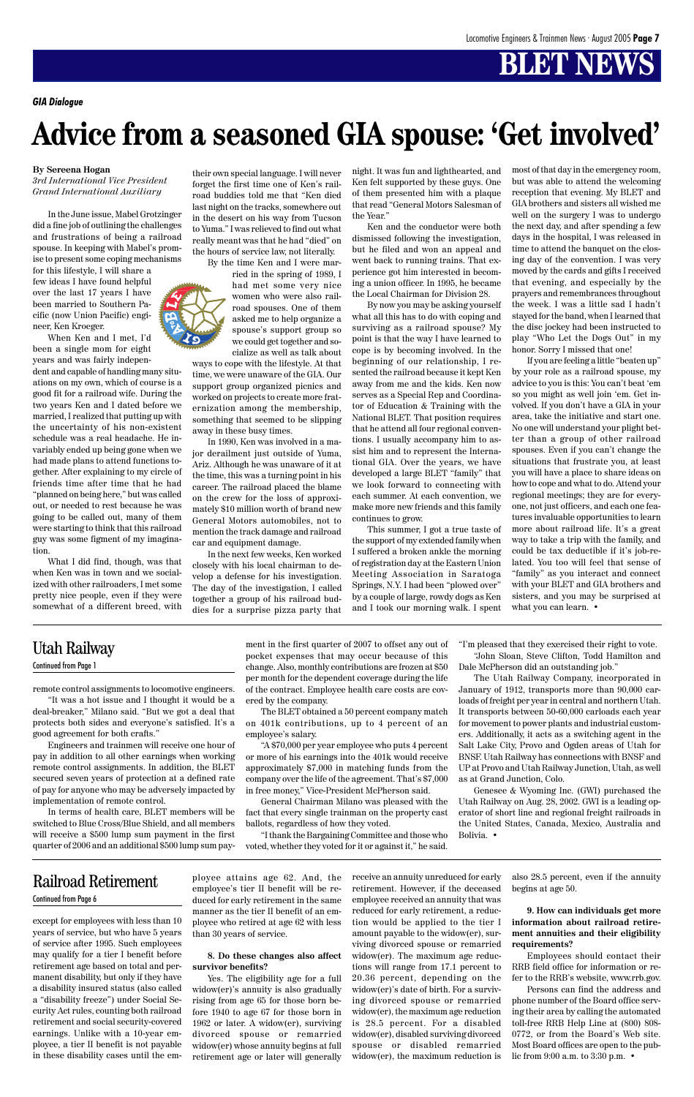

except for employees with less than 10 years of service, but who have 5 years of service after 1995. Such employees may qualify for a tier I benefit before retirement age based on total and permanent disability, but only if they have a disability insured status (also called a "disability freeze") under Social Security Act rules, counting both railroad retirement and social security-covered earnings. Unlike with a 10-year employee, a tier II benefit is not payable in these disability cases until the employee attains age 62. And, the employee's tier II benefit will be reduced for early retirement in the same manner as the tier II benefit of an employee who retired at age 62 with less than 30 years of service.

### **8. Do these changes also affect survivor benefits?**

Yes. The eligibility age for a full widow(er)'s annuity is also gradually rising from age 65 for those born before 1940 to age 67 for those born in 1962 or later. A widow(er), surviving divorced spouse or remarried widow(er) whose annuity begins at full retirement age or later will generally

receive an annuity unreduced for early retirement. However, if the deceased employee received an annuity that was reduced for early retirement, a reduction would be applied to the tier I amount payable to the widow(er), surviving divorced spouse or remarried widow(er). The maximum age reductions will range from 17.1 percent to 20.36 percent, depending on the widow(er)'s date of birth. For a surviving divorced spouse or remarried widow(er), the maximum age reduction is 28.5 percent. For a disabled widow(er), disabled surviving divorced spouse or disabled remarried widow(er), the maximum reduction is

also 28.5 percent, even if the annuity begins at age 50.

**9. How can individuals get more information about railroad retirement annuities and their eligibility requirements?**

Employees should contact their RRB field office for information or refer to the RRB's website, www.rrb.gov.

Persons can find the address and phone number of the Board office serving their area by calling the automated toll-free RRB Help Line at (800) 808- 0772, or from the Board's Web site. Most Board offices are open to the public from 9:00 a.m. to 3:30 p.m. •

### Railroad Retirement Continued from Page 6

remote control assignments to locomotive engineers.

"It was a hot issue and I thought it would be a deal-breaker," Milano said. "But we got a deal that protects both sides and everyone's satisfied. It's a good agreement for both crafts."

Engineers and trainmen will receive one hour of pay in addition to all other earnings when working remote control assignments. In addition, the BLET secured seven years of protection at a defined rate of pay for anyone who may be adversely impacted by implementation of remote control.

In terms of health care, BLET members will be switched to Blue Cross/Blue Shield, and all members will receive a \$500 lump sum payment in the first quarter of 2006 and an additional \$500 lump sum payment in the first quarter of 2007 to offset any out of pocket expenses that may occur because of this change. Also, monthly contributions are frozen at \$50 per month for the dependent coverage during the life of the contract. Employee health care costs are covered by the company.

The BLET obtained a 50 percent company match on 401k contributions, up to 4 percent of an employee's salary.

"A \$70,000 per year employee who puts 4 percent or more of his earnings into the 401k would receive approximately \$7,000 in matching funds from the company over the life of the agreement. That's \$7,000 in free money," Vice-President McPherson said.

General Chairman Milano was pleased with the

fact that every single trainman on the property cast ballots, regardless of how they voted.

"I thank the Bargaining Committee and those who voted, whether they voted for it or against it," he said.

"I'm pleased that they exercised their right to vote. "John Sloan, Steve Clifton, Todd Hamilton and Dale McPherson did an outstanding job."

The Utah Railway Company, incorporated in January of 1912, transports more than 90,000 carloads of freight per year in central and northern Utah. It transports between 50-60,000 carloads each year for movement to power plants and industrial customers. Additionally, it acts as a switching agent in the Salt Lake City, Provo and Ogden areas of Utah for BNSF. Utah Railway has connections with BNSF and UP at Provo and Utah Railway Junction, Utah, as well as at Grand Junction, Colo.

Genesee & Wyoming Inc. (GWI) purchased the Utah Railway on Aug. 28, 2002. GWI is a leading op-



erator of short line and regional freight railroads in the United States, Canada, Mexico, Australia and Bolivia. •

## Utah Railway

### Continued from Page 1

*GIA Dialogue*

#### **By Sereena Hogan**

*3rd International Vice President Grand International Auxiliary*

In the June issue, Mabel Grotzinger did a fine job of outlining the challenges and frustrations of being a railroad spouse. In keeping with Mabel's promise to present some coping mechanisms

for this lifestyle, I will share a few ideas I have found helpful over the last 17 years I have been married to Southern Pacific (now Union Pacific) engineer, Ken Kroeger.

When Ken and I met, I'd been a single mom for eight years and was fairly indepen-

dent and capable of handling many situations on my own, which of course is a good fit for a railroad wife. During the two years Ken and I dated before we married, I realized that putting up with the uncertainty of his non-existent schedule was a real headache. He invariably ended up being gone when we had made plans to attend functions together. After explaining to my circle of friends time after time that he had "planned on being here," but was called out, or needed to rest because he was going to be called out, many of them were starting to think that this railroad guy was some figment of my imagination.

What I did find, though, was that when Ken was in town and we socialized with other railroaders, I met some pretty nice people, even if they were somewhat of a different breed, with their own special language. I will never forget the first time one of Ken's railroad buddies told me that "Ken died last night on the tracks, somewhere out in the desert on his way from Tucson to Yuma." I was relieved to find out what really meant was that he had "died" on the hours of service law, not literally.

By the time Ken and I were mar-

ried in the spring of 1989, I had met some very nice women who were also railroad spouses. One of them asked me to help organize a spouse's support group so we could get together and socialize as well as talk about

ways to cope with the lifestyle. At that time, we were unaware of the GIA. Our support group organized picnics and worked on projects to create more fraternization among the membership, something that seemed to be slipping away in these busy times.

In 1990, Ken was involved in a major derailment just outside of Yuma, Ariz. Although he was unaware of it at the time, this was a turning point in his career. The railroad placed the blame on the crew for the loss of approximately \$10 million worth of brand new General Motors automobiles, not to mention the track damage and railroad car and equipment damage.

In the next few weeks, Ken worked closely with his local chairman to develop a defense for his investigation. The day of the investigation, I called together a group of his railroad buddies for a surprise pizza party that

night. It was fun and lighthearted, and Ken felt supported by these guys. One of them presented him with a plaque that read "General Motors Salesman of the Year."

Ken and the conductor were both dismissed following the investigation, but he filed and won an appeal and went back to running trains. That experience got him interested in becoming a union officer. In 1995, he became the Local Chairman for Division 28.

By now you may be asking yourself what all this has to do with coping and surviving as a railroad spouse? My point is that the way I have learned to cope is by becoming involved. In the beginning of our relationship, I resented the railroad because it kept Ken away from me and the kids. Ken now serves as a Special Rep and Coordinator of Education & Training with the National BLET. That position requires that he attend all four regional conventions. I usually accompany him to assist him and to represent the International GIA. Over the years, we have developed a large BLET "family" that we look forward to connecting with each summer. At each convention, we make more new friends and this family continues to grow.

This summer, I got a true taste of the support of my extended family when I suffered a broken ankle the morning of registration day at the Eastern Union Meeting Association in Saratoga Springs, N.Y. I had been "plowed over" by a couple of large, rowdy dogs as Ken and I took our morning walk. I spent most of that day in the emergency room, but was able to attend the welcoming reception that evening. My BLET and GIA brothers and sisters all wished me well on the surgery I was to undergo the next day, and after spending a few days in the hospital, I was released in time to attend the banquet on the closing day of the convention. I was very moved by the cards and gifts I received that evening, and especially by the prayers and remembrances throughout the week. I was a little sad I hadn't stayed for the band, when I learned that the disc jockey had been instructed to play "Who Let the Dogs Out" in my honor. Sorry I missed that one!

If you are feeling a little "beaten up" by your role as a railroad spouse, my advice to you is this: You can't beat 'em so you might as well join 'em. Get involved. If you don't have a GIA in your area, take the initiative and start one. No one will understand your plight better than a group of other railroad spouses. Even if you can't change the situations that frustrate you, at least you will have a place to share ideas on how to cope and what to do. Attend your regional meetings; they are for everyone, not just officers, and each one features invaluable opportunities to learn more about railroad life. It's a great way to take a trip with the family, and could be tax deductible if it's job-related. You too will feel that sense of "family" as you interact and connect with your BLET and GIA brothers and sisters, and you may be surprised at what you can learn. •

# **Advice from a seasoned GIA spouse: 'Get involved'**